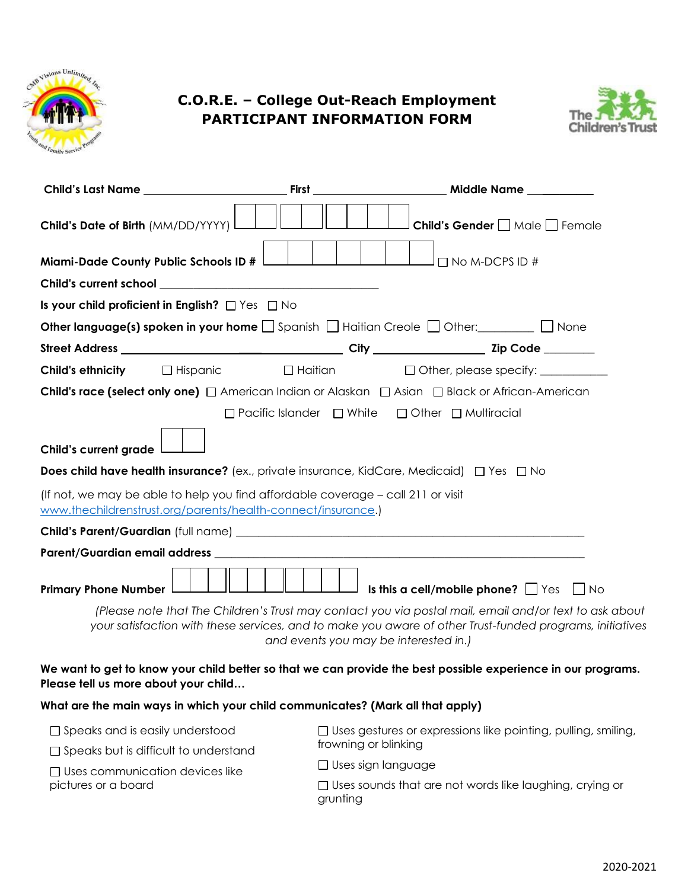

# **C.O.R.E. – College Out-Reach Employment PARTICIPANT INFORMATION FORM**



|                                              | Child's Last Name                                                                                                                                | <b>First Executive Service Service Service Service Service Service Service Service Service Service Service Service</b> | Middle Name                                                                                                                                                                                                        |
|----------------------------------------------|--------------------------------------------------------------------------------------------------------------------------------------------------|------------------------------------------------------------------------------------------------------------------------|--------------------------------------------------------------------------------------------------------------------------------------------------------------------------------------------------------------------|
| Child's Date of Birth (MM/DD/YYYY) I         |                                                                                                                                                  |                                                                                                                        | Child's Gender Male Female                                                                                                                                                                                         |
|                                              | Miami-Dade County Public Schools ID #                                                                                                            |                                                                                                                        | $\Box$ No M-DCPS ID #                                                                                                                                                                                              |
|                                              |                                                                                                                                                  |                                                                                                                        |                                                                                                                                                                                                                    |
|                                              | Is your child proficient in English? $\Box$ Yes $\Box$ No                                                                                        |                                                                                                                        |                                                                                                                                                                                                                    |
|                                              |                                                                                                                                                  |                                                                                                                        | <b>Other language(s) spoken in your home</b> $\Box$ Spanish $\Box$ Haitian Creole $\Box$ Other: $\Box$ None                                                                                                        |
|                                              |                                                                                                                                                  |                                                                                                                        |                                                                                                                                                                                                                    |
|                                              |                                                                                                                                                  |                                                                                                                        | Child's ethnicity □ Hispanic □ Haitian □ Other, please specify: _________                                                                                                                                          |
|                                              |                                                                                                                                                  |                                                                                                                        | <b>Child's race (select only one)</b> $\Box$ American Indian or Alaskan $\Box$ Asian $\Box$ Black or African-American                                                                                              |
|                                              |                                                                                                                                                  |                                                                                                                        | □ Pacific Islander □ White □ Other □ Multiracial                                                                                                                                                                   |
|                                              |                                                                                                                                                  |                                                                                                                        |                                                                                                                                                                                                                    |
| Child's current grade                        |                                                                                                                                                  |                                                                                                                        |                                                                                                                                                                                                                    |
|                                              |                                                                                                                                                  |                                                                                                                        | <b>Does child have health insurance?</b> (ex., private insurance, KidCare, Medicaid) $\Box$ Yes $\Box$ No                                                                                                          |
|                                              | (If not, we may be able to help you find affordable coverage - call 211 or visit<br>www.thechildrenstrust.org/parents/health-connect/insurance.) |                                                                                                                        |                                                                                                                                                                                                                    |
|                                              |                                                                                                                                                  |                                                                                                                        |                                                                                                                                                                                                                    |
|                                              |                                                                                                                                                  |                                                                                                                        |                                                                                                                                                                                                                    |
| <b>Primary Phone Number</b>                  |                                                                                                                                                  |                                                                                                                        | <b>Is this a cell/mobile phone?</b> $\Box$ Yes $\Box$ No                                                                                                                                                           |
|                                              |                                                                                                                                                  | and events you may be interested in.)                                                                                  | (Please note that The Children's Trust may contact you via postal mail, email and/or text to ask about<br>your satisfaction with these services, and to make you aware of other Trust-funded programs, initiatives |
| Please tell us more about your child         |                                                                                                                                                  |                                                                                                                        | We want to get to know your child better so that we can provide the best possible experience in our programs.                                                                                                      |
|                                              | What are the main ways in which your child communicates? (Mark all that apply)                                                                   |                                                                                                                        |                                                                                                                                                                                                                    |
| $\Box$ Speaks and is easily understood       |                                                                                                                                                  |                                                                                                                        | $\Box$ Uses gestures or expressions like pointing, pulling, smiling,                                                                                                                                               |
| $\Box$ Speaks but is difficult to understand |                                                                                                                                                  | frowning or blinking                                                                                                   |                                                                                                                                                                                                                    |
| $\Box$ Uses communication devices like       |                                                                                                                                                  | $\Box$ Uses sign language                                                                                              |                                                                                                                                                                                                                    |
| pictures or a board                          |                                                                                                                                                  | grunting                                                                                                               | $\Box$ Uses sounds that are not words like laughing, crying or                                                                                                                                                     |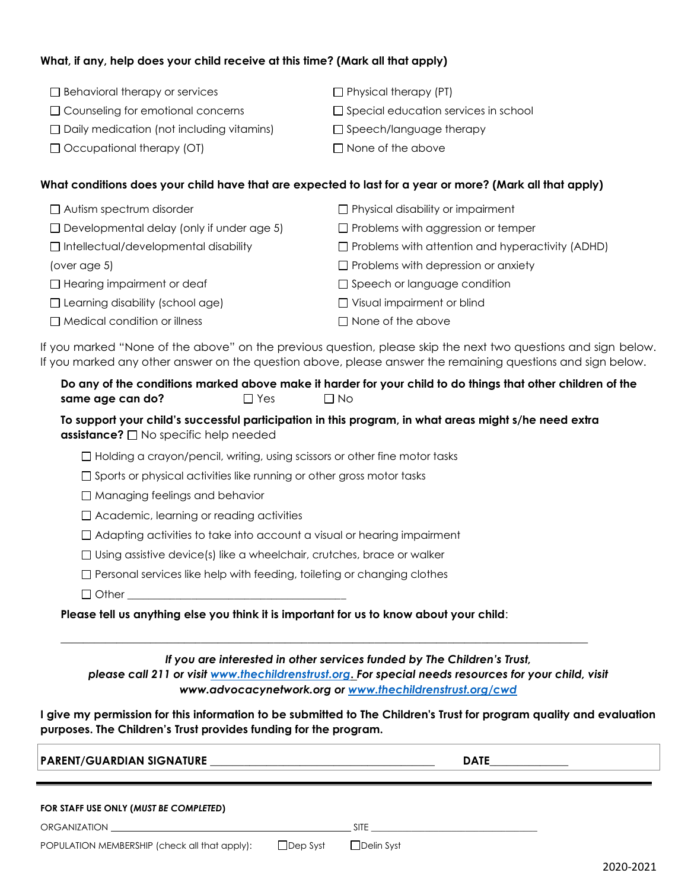#### **What, if any, help does your child receive at this time? (Mark all that apply)**

 $\Box$  Behavioral therapy or services □ Counseling for emotional concerns  $\square$  Daily medication (not including vitamins) □ Occupational therapy (OT)  $\Box$  Physical therapy (PT)  $\square$  Special education services in school  $\square$  Speech/language therapy  $\Box$  None of the above

#### **What conditions does your child have that are expected to last for a year or more? (Mark all that apply)**

| $\Box$ Autism spectrum disorder                  | $\Box$ Physical disability or impairment                |
|--------------------------------------------------|---------------------------------------------------------|
| $\Box$ Developmental delay (only if under age 5) | $\Box$ Problems with aggression or temper               |
| $\Box$ Intellectual/developmental disability     | $\Box$ Problems with attention and hyperactivity (ADHD) |
| (over age 5)                                     | $\Box$ Problems with depression or anxiety              |
| $\Box$ Hearing impairment or deaf                | $\Box$ Speech or language condition                     |
| $\Box$ Learning disability (school age)          | $\Box$ Visual impairment or blind                       |
| $\Box$ Medical condition or illness              | $\Box$ None of the above                                |

If you marked "None of the above" on the previous question, please skip the next two questions and sign below. If you marked any other answer on the question above, please answer the remaining questions and sign below.

**Do any of the conditions marked above make it harder for your child to do things that other children of the same age can do?** <br> No

**To support your child's successful participation in this program, in what areas might s/he need extra assistance?** □ No specific help needed

 $\Box$  Holding a crayon/pencil, writing, using scissors or other fine motor tasks

 $\square$  Sports or physical activities like running or other gross motor tasks

□ Managing feelings and behavior

□ Academic, learning or reading activities

 $\Box$  Adapting activities to take into account a visual or hearing impairment

 $\Box$  Using assistive device(s) like a wheelchair, crutches, brace or walker

 $\Box$  Personal services like help with feeding, toileting or changing clothes

 $\Box$  Other

**Please tell us anything else you think it is important for us to know about your child**:

*If you are interested in other services funded by The Children's Trust,* 

*please call 211 or visit [www.thechildrenstrust.org](http://www.thechildrenstrust.org/)***.** *For special needs resources for your child, visit www.advocacynetwork.org or [www.thechildrenstrust.org/cwd](http://www.thechildrenstrust.org/cwd)*

 $\overline{\phantom{a}}$  , and the contribution of the contribution of the contribution of the contribution of the contribution of the contribution of the contribution of the contribution of the contribution of the contribution of the

**I give my permission for this information to be submitted to The Children's Trust for program quality and evaluation purposes. The Children's Trust provides funding for the program.**

| <b>PARENT/GUARDIAN SIGNATURE</b>                                                                                     | <b>DATE</b>     |             |  |  |
|----------------------------------------------------------------------------------------------------------------------|-----------------|-------------|--|--|
| FOR STAFF USE ONLY (MUST BE COMPLETED)                                                                               |                 |             |  |  |
| ORGANIZATION <b>SECURE AND SECURE AND SECURE AND SECURE AND SECURE AND SECURE AND SECURE AND SECURE AND SECURE A</b> |                 | <b>SITE</b> |  |  |
| POPULATION MEMBERSHIP (check all that apply):                                                                        | $\Box$ Dep Syst | Delin Syst  |  |  |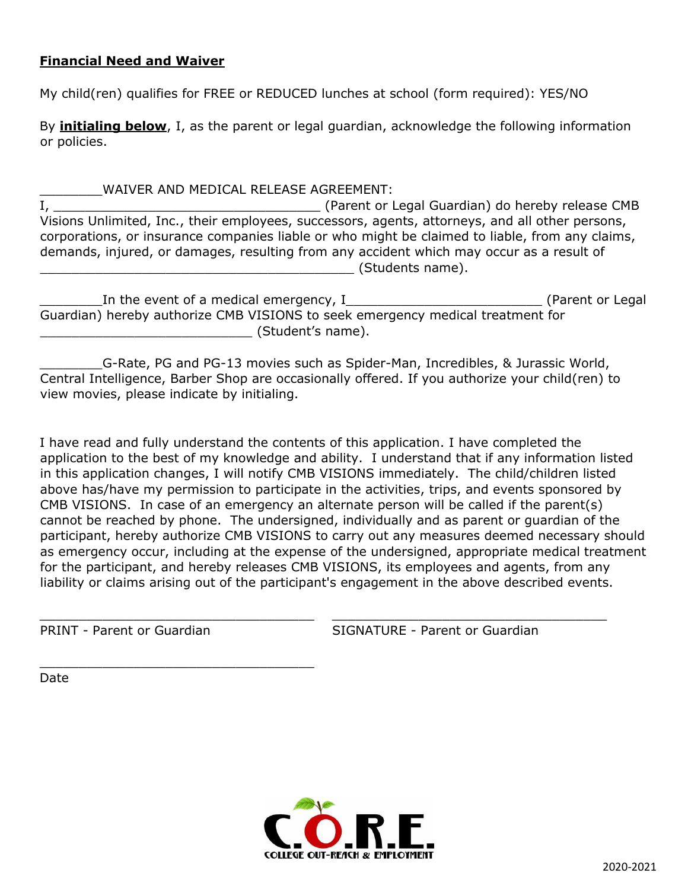#### **Financial Need and Waiver**

My child(ren) qualifies for FREE or REDUCED lunches at school (form required): YES/NO

By **initialing below**, I, as the parent or legal guardian, acknowledge the following information or policies.

\_\_\_\_\_\_\_\_WAIVER AND MEDICAL RELEASE AGREEMENT: I, \_\_\_\_\_\_\_\_\_\_\_\_\_\_\_\_\_\_\_\_\_\_\_\_\_\_\_\_\_\_\_\_\_\_ (Parent or Legal Guardian) do hereby release CMB Visions Unlimited, Inc., their employees, successors, agents, attorneys, and all other persons, corporations, or insurance companies liable or who might be claimed to liable, from any claims, demands, injured, or damages, resulting from any accident which may occur as a result of example and the state of Students name).

| In the event of a medical emergency, I                                         | (Parent or Legal |
|--------------------------------------------------------------------------------|------------------|
| Guardian) hereby authorize CMB VISIONS to seek emergency medical treatment for |                  |
| (Student's name).                                                              |                  |

\_\_\_\_\_\_\_\_G-Rate, PG and PG-13 movies such as Spider-Man, Incredibles, & Jurassic World, Central Intelligence, Barber Shop are occasionally offered. If you authorize your child(ren) to view movies, please indicate by initialing.

I have read and fully understand the contents of this application. I have completed the application to the best of my knowledge and ability. I understand that if any information listed in this application changes, I will notify CMB VISIONS immediately. The child/children listed above has/have my permission to participate in the activities, trips, and events sponsored by CMB VISIONS. In case of an emergency an alternate person will be called if the parent(s) cannot be reached by phone. The undersigned, individually and as parent or guardian of the participant, hereby authorize CMB VISIONS to carry out any measures deemed necessary should as emergency occur, including at the expense of the undersigned, appropriate medical treatment for the participant, and hereby releases CMB VISIONS, its employees and agents, from any liability or claims arising out of the participant's engagement in the above described events.

\_\_\_\_\_\_\_\_\_\_\_\_\_\_\_\_\_\_\_\_\_\_\_\_\_\_\_\_\_\_\_\_\_\_\_ \_\_\_\_\_\_\_\_\_\_\_\_\_\_\_\_\_\_\_\_\_\_\_\_\_\_\_\_\_\_\_\_\_\_\_

\_\_\_\_\_\_\_\_\_\_\_\_\_\_\_\_\_\_\_\_\_\_\_\_\_\_\_\_\_\_\_\_\_\_\_

PRINT - Parent or Guardian The SIGNATURE - Parent or Guardian

Date

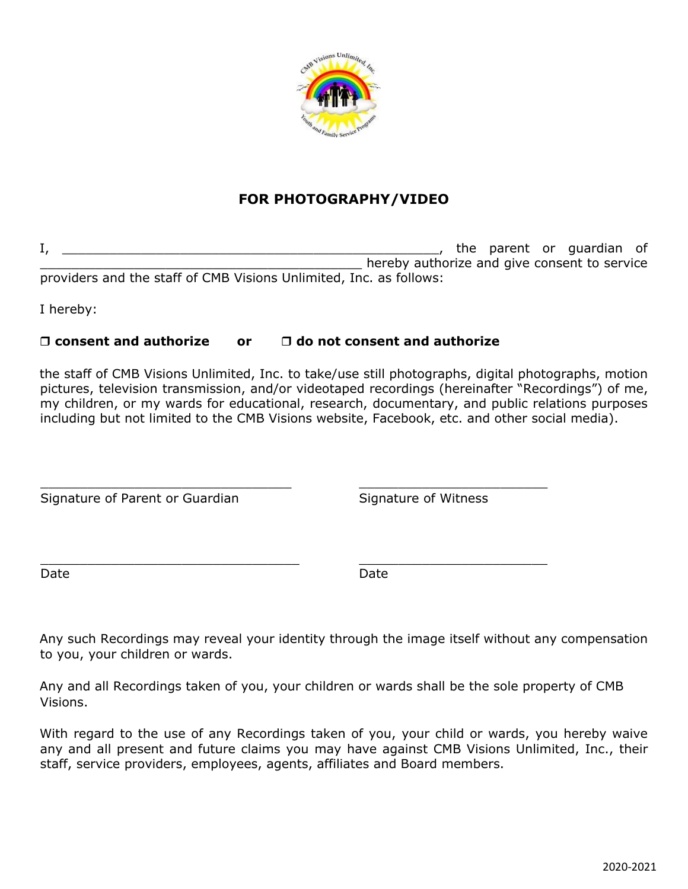

## **FOR PHOTOGRAPHY/VIDEO**

I, \_\_\_\_\_\_\_\_\_\_\_\_\_\_\_\_\_\_\_\_\_\_\_\_\_\_\_\_\_\_\_\_\_\_\_\_\_\_\_\_\_\_\_\_\_\_\_\_, the parent or guardian of **The Line of the ready authorize and give consent to service** providers and the staff of CMB Visions Unlimited, Inc. as follows:

I hereby:

### **consent and authorize or do not consent and authorize**

\_\_\_\_\_\_\_\_\_\_\_\_\_\_\_\_\_\_\_\_\_\_\_\_\_\_\_\_\_\_\_\_ \_\_\_\_\_\_\_\_\_\_\_\_\_\_\_\_\_\_\_\_\_\_\_\_

\_\_\_\_\_\_\_\_\_\_\_\_\_\_\_\_\_\_\_\_\_\_\_\_\_\_\_\_\_\_\_\_\_ \_\_\_\_\_\_\_\_\_\_\_\_\_\_\_\_\_\_\_\_\_\_\_\_

the staff of CMB Visions Unlimited, Inc. to take/use still photographs, digital photographs, motion pictures, television transmission, and/or videotaped recordings (hereinafter "Recordings") of me, my children, or my wards for educational, research, documentary, and public relations purposes including but not limited to the CMB Visions website, Facebook, etc. and other social media).

Signature of Parent or Guardian Signature of Witness

Date **Date** Date **Date** Date **Date** 

Any such Recordings may reveal your identity through the image itself without any compensation to you, your children or wards.

Any and all Recordings taken of you, your children or wards shall be the sole property of CMB Visions.

With regard to the use of any Recordings taken of you, your child or wards, you hereby waive any and all present and future claims you may have against CMB Visions Unlimited, Inc., their staff, service providers, employees, agents, affiliates and Board members.